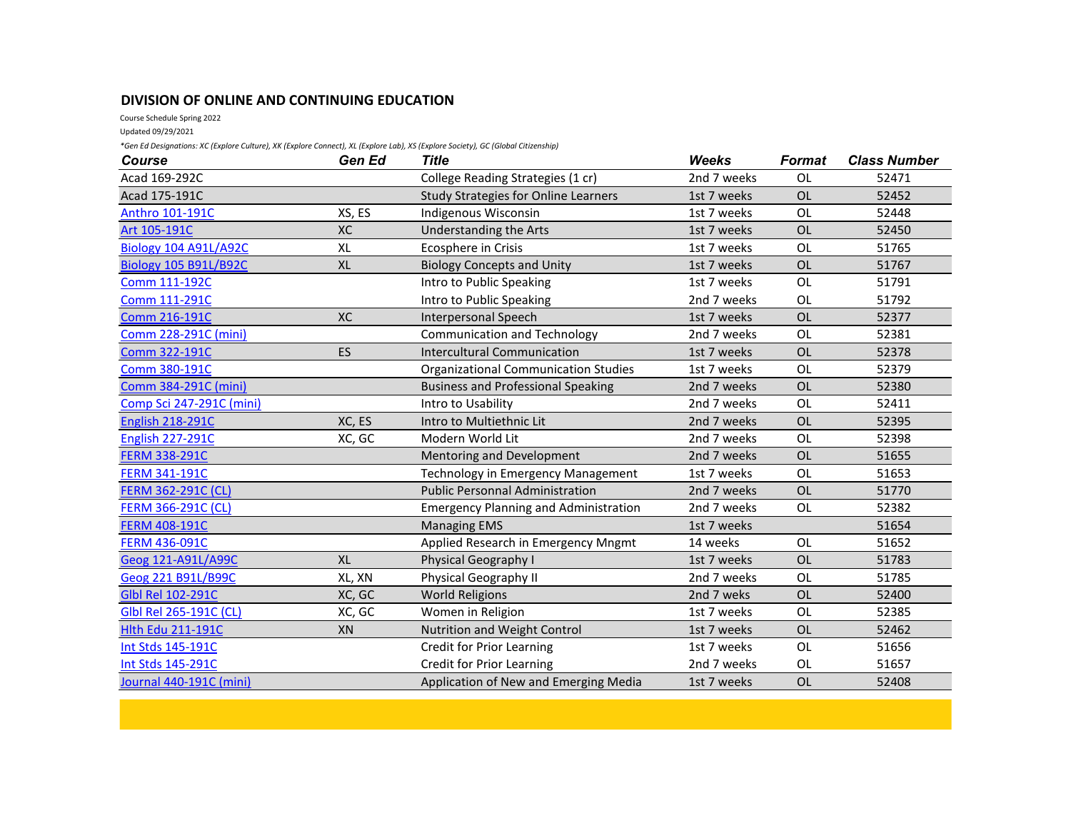## **DIVISION OF ONLINE AND CONTINUING EDUCATION**

Course Schedule Spring 2022

Updated 09/29/2021

*\*Gen Ed Designations: XC (Explore Culture), XK (Explore Connect), XL (Explore Lab), XS (Explore Society), GC (Global Citizenship)*

| <b>Course</b>                | Gen Ed    | <b>Title</b>                                 | <b>Weeks</b> | <b>Format</b> | <b>Class Number</b> |
|------------------------------|-----------|----------------------------------------------|--------------|---------------|---------------------|
| Acad 169-292C                |           | College Reading Strategies (1 cr)            | 2nd 7 weeks  | <b>OL</b>     | 52471               |
| Acad 175-191C                |           | <b>Study Strategies for Online Learners</b>  | 1st 7 weeks  | OL            | 52452               |
| Anthro 101-191C              | XS, ES    | Indigenous Wisconsin                         | 1st 7 weeks  | OL            | 52448               |
| Art 105-191C                 | XC        | Understanding the Arts                       | 1st 7 weeks  | <b>OL</b>     | 52450               |
| <b>Biology 104 A91L/A92C</b> | <b>XL</b> | Ecosphere in Crisis                          | 1st 7 weeks  | <b>OL</b>     | 51765               |
| <b>Biology 105 B91L/B92C</b> | <b>XL</b> | <b>Biology Concepts and Unity</b>            | 1st 7 weeks  | <b>OL</b>     | 51767               |
| Comm 111-192C                |           | Intro to Public Speaking                     | 1st 7 weeks  | <b>OL</b>     | 51791               |
| Comm 111-291C                |           | Intro to Public Speaking                     | 2nd 7 weeks  | <b>OL</b>     | 51792               |
| Comm 216-191C                | XC        | Interpersonal Speech                         | 1st 7 weeks  | OL            | 52377               |
| Comm 228-291C (mini)         |           | <b>Communication and Technology</b>          | 2nd 7 weeks  | <b>OL</b>     | 52381               |
| Comm 322-191C                | <b>ES</b> | Intercultural Communication                  | 1st 7 weeks  | <b>OL</b>     | 52378               |
| Comm 380-191C                |           | <b>Organizational Communication Studies</b>  | 1st 7 weeks  | <b>OL</b>     | 52379               |
| Comm 384-291C (mini)         |           | <b>Business and Professional Speaking</b>    | 2nd 7 weeks  | <b>OL</b>     | 52380               |
| Comp Sci 247-291C (mini)     |           | Intro to Usability                           | 2nd 7 weeks  | OL            | 52411               |
| <b>English 218-291C</b>      | XC, ES    | Intro to Multiethnic Lit                     | 2nd 7 weeks  | <b>OL</b>     | 52395               |
| <b>English 227-291C</b>      | XC, GC    | Modern World Lit                             | 2nd 7 weeks  | OL            | 52398               |
| <b>FERM 338-291C</b>         |           | Mentoring and Development                    | 2nd 7 weeks  | OL            | 51655               |
| <b>FERM 341-191C</b>         |           | Technology in Emergency Management           | 1st 7 weeks  | <b>OL</b>     | 51653               |
| <b>FERM 362-291C (CL)</b>    |           | <b>Public Personnal Administration</b>       | 2nd 7 weeks  | <b>OL</b>     | 51770               |
| <b>FERM 366-291C (CL)</b>    |           | <b>Emergency Planning and Administration</b> | 2nd 7 weeks  | <b>OL</b>     | 52382               |
| <b>FERM 408-191C</b>         |           | <b>Managing EMS</b>                          | 1st 7 weeks  |               | 51654               |
| <b>FERM 436-091C</b>         |           | Applied Research in Emergency Mngmt          | 14 weeks     | OL            | 51652               |
| Geog 121-A91L/A99C           | <b>XL</b> | <b>Physical Geography I</b>                  | 1st 7 weeks  | <b>OL</b>     | 51783               |
| Geog 221 B91L/B99C           | XL, XN    | Physical Geography II                        | 2nd 7 weeks  | OL            | 51785               |
| Glbl Rel 102-291C            | XC, GC    | <b>World Religions</b>                       | 2nd 7 weks   | <b>OL</b>     | 52400               |
| Glbl Rel 265-191C (CL)       | XC, GC    | Women in Religion                            | 1st 7 weeks  | OL            | 52385               |
| <b>Hlth Edu 211-191C</b>     | XN        | <b>Nutrition and Weight Control</b>          | 1st 7 weeks  | <b>OL</b>     | 52462               |
| Int Stds 145-191C            |           | <b>Credit for Prior Learning</b>             | 1st 7 weeks  | OL            | 51656               |
| Int Stds 145-291C            |           | <b>Credit for Prior Learning</b>             | 2nd 7 weeks  | <b>OL</b>     | 51657               |
| Journal 440-191C (mini)      |           | Application of New and Emerging Media        | 1st 7 weeks  | <b>OL</b>     | 52408               |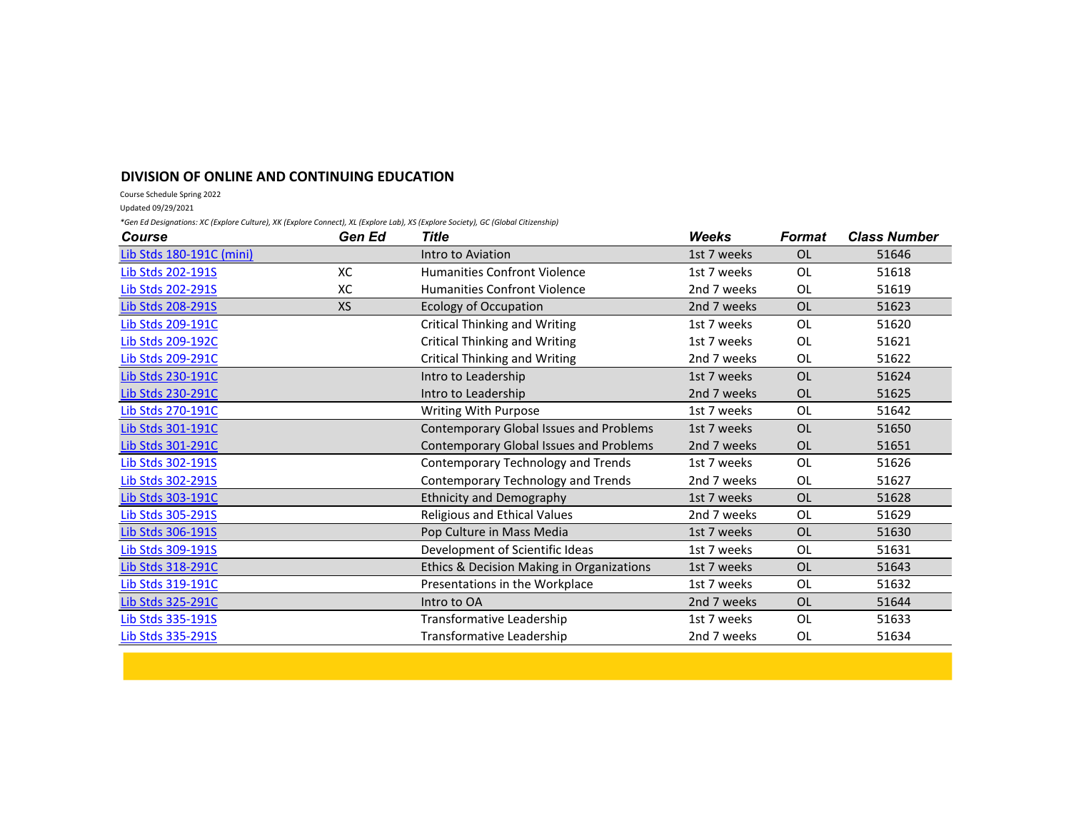## **DIVISION OF ONLINE AND CONTINUING EDUCATION**

Course Schedule Spring 2022

Updated 09/29/2021

*\*Gen Ed Designations: XC (Explore Culture), XK (Explore Connect), XL (Explore Lab), XS (Explore Society), GC (Global Citizenship)*

| Course                          | Gen Ed    | <b>Title</b>                              | Weeks       | Format    | <b>Class Number</b> |
|---------------------------------|-----------|-------------------------------------------|-------------|-----------|---------------------|
| <b>Lib Stds 180-191C (mini)</b> |           | Intro to Aviation                         | 1st 7 weeks | <b>OL</b> | 51646               |
| Lib Stds 202-191S               | XC        | <b>Humanities Confront Violence</b>       | 1st 7 weeks | OL        | 51618               |
| Lib Stds 202-291S               | XC        | <b>Humanities Confront Violence</b>       | 2nd 7 weeks | <b>OL</b> | 51619               |
| Lib Stds 208-291S               | <b>XS</b> | <b>Ecology of Occupation</b>              | 2nd 7 weeks | <b>OL</b> | 51623               |
| Lib Stds 209-191C               |           | <b>Critical Thinking and Writing</b>      | 1st 7 weeks | <b>OL</b> | 51620               |
| Lib Stds 209-192C               |           | <b>Critical Thinking and Writing</b>      | 1st 7 weeks | <b>OL</b> | 51621               |
| Lib Stds 209-291C               |           | <b>Critical Thinking and Writing</b>      | 2nd 7 weeks | <b>OL</b> | 51622               |
| <b>Lib Stds 230-191C</b>        |           | Intro to Leadership                       | 1st 7 weeks | <b>OL</b> | 51624               |
| Lib Stds 230-291C               |           | Intro to Leadership                       | 2nd 7 weeks | <b>OL</b> | 51625               |
| Lib Stds 270-191C               |           | <b>Writing With Purpose</b>               | 1st 7 weeks | <b>OL</b> | 51642               |
| Lib Stds 301-191C               |           | Contemporary Global Issues and Problems   | 1st 7 weeks | <b>OL</b> | 51650               |
| Lib Stds 301-291C               |           | Contemporary Global Issues and Problems   | 2nd 7 weeks | <b>OL</b> | 51651               |
| Lib Stds 302-191S               |           | Contemporary Technology and Trends        | 1st 7 weeks | OL        | 51626               |
| Lib Stds 302-291S               |           | Contemporary Technology and Trends        | 2nd 7 weeks | <b>OL</b> | 51627               |
| Lib Stds 303-191C               |           | <b>Ethnicity and Demography</b>           | 1st 7 weeks | <b>OL</b> | 51628               |
| Lib Stds 305-291S               |           | Religious and Ethical Values              | 2nd 7 weeks | <b>OL</b> | 51629               |
| <b>Lib Stds 306-191S</b>        |           | Pop Culture in Mass Media                 | 1st 7 weeks | <b>OL</b> | 51630               |
| <b>Lib Stds 309-191S</b>        |           | Development of Scientific Ideas           | 1st 7 weeks | <b>OL</b> | 51631               |
| Lib Stds 318-291C               |           | Ethics & Decision Making in Organizations | 1st 7 weeks | <b>OL</b> | 51643               |
| Lib Stds 319-191C               |           | Presentations in the Workplace            | 1st 7 weeks | <b>OL</b> | 51632               |
| <b>Lib Stds 325-291C</b>        |           | Intro to OA                               | 2nd 7 weeks | <b>OL</b> | 51644               |
| Lib Stds 335-191S               |           | Transformative Leadership                 | 1st 7 weeks | <b>OL</b> | 51633               |
| Lib Stds 335-291S               |           | Transformative Leadership                 | 2nd 7 weeks | <b>OL</b> | 51634               |